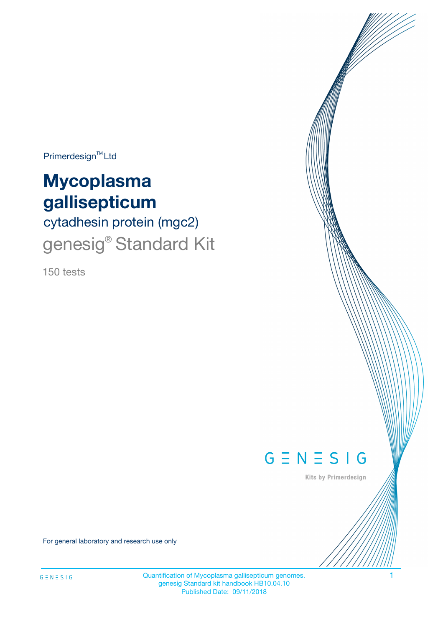$Primerdesign^{\text{TM}}Ltd$ 

# **Mycoplasma gallisepticum**

# cytadhesin protein (mgc2) genesig<sup>®</sup> Standard Kit

150 tests



Kits by Primerdesign

For general laboratory and research use only

Quantification of Mycoplasma gallisepticum genomes. 1 genesig Standard kit handbook HB10.04.10 Published Date: 09/11/2018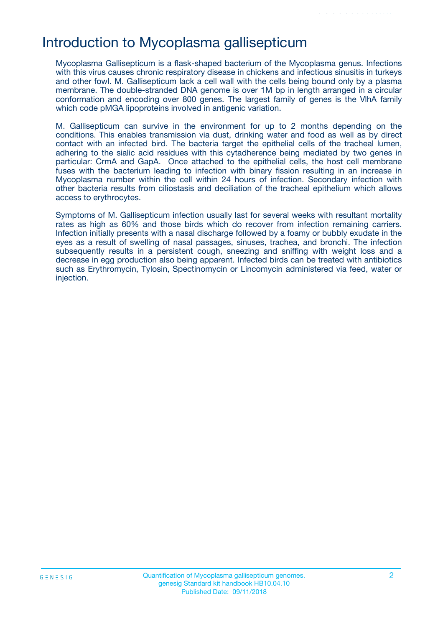## Introduction to Mycoplasma gallisepticum

Mycoplasma Gallisepticum is a flask-shaped bacterium of the Mycoplasma genus. Infections with this virus causes chronic respiratory disease in chickens and infectious sinusitis in turkeys and other fowl. M. Gallisepticum lack a cell wall with the cells being bound only by a plasma membrane. The double-stranded DNA genome is over 1M bp in length arranged in a circular conformation and encoding over 800 genes. The largest family of genes is the VlhA family which code pMGA lipoproteins involved in antigenic variation.

M. Gallisepticum can survive in the environment for up to 2 months depending on the conditions. This enables transmission via dust, drinking water and food as well as by direct contact with an infected bird. The bacteria target the epithelial cells of the tracheal lumen, adhering to the sialic acid residues with this cytadherence being mediated by two genes in particular: CrmA and GapA. Once attached to the epithelial cells, the host cell membrane fuses with the bacterium leading to infection with binary fission resulting in an increase in Mycoplasma number within the cell within 24 hours of infection. Secondary infection with other bacteria results from ciliostasis and deciliation of the tracheal epithelium which allows access to erythrocytes.

Symptoms of M. Gallisepticum infection usually last for several weeks with resultant mortality rates as high as 60% and those birds which do recover from infection remaining carriers. Infection initially presents with a nasal discharge followed by a foamy or bubbly exudate in the eyes as a result of swelling of nasal passages, sinuses, trachea, and bronchi. The infection subsequently results in a persistent cough, sneezing and sniffing with weight loss and a decrease in egg production also being apparent. Infected birds can be treated with antibiotics such as Erythromycin, Tylosin, Spectinomycin or Lincomycin administered via feed, water or injection.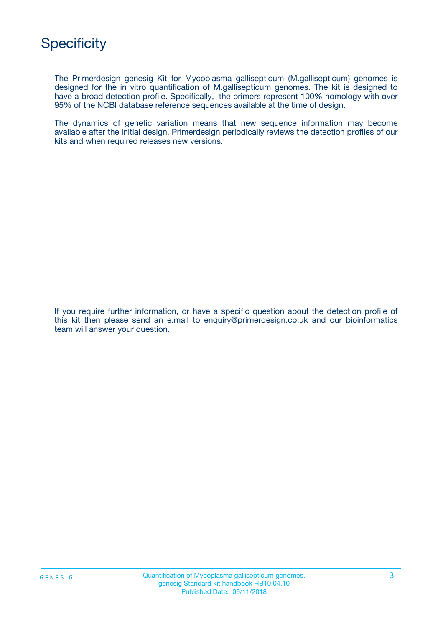

The Primerdesign genesig Kit for Mycoplasma gallisepticum (M.gallisepticum) genomes is designed for the in vitro quantification of M.gallisepticum genomes. The kit is designed to have a broad detection profile. Specifically, the primers represent 100% homology with over 95% of the NCBI database reference sequences available at the time of design.

The dynamics of genetic variation means that new sequence information may become available after the initial design. Primerdesign periodically reviews the detection profiles of our kits and when required releases new versions.

If you require further information, or have a specific question about the detection profile of this kit then please send an e.mail to enquiry@primerdesign.co.uk and our bioinformatics team will answer your question.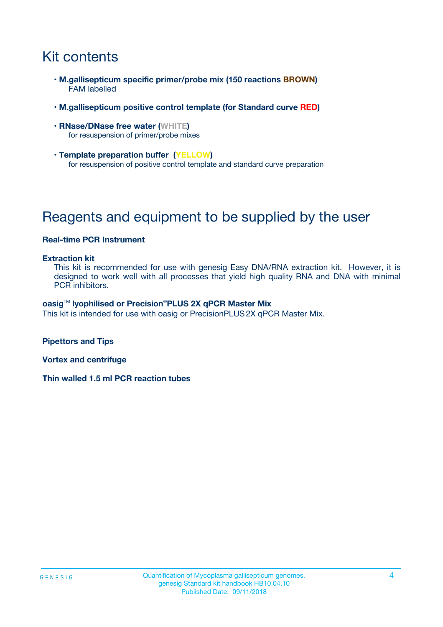# Kit contents

- **M.gallisepticum specific primer/probe mix (150 reactions BROWN)** FAM labelled
- **M.gallisepticum positive control template (for Standard curve RED)**
- **RNase/DNase free water (WHITE)** for resuspension of primer/probe mixes
- **Template preparation buffer (YELLOW)** for resuspension of positive control template and standard curve preparation

# Reagents and equipment to be supplied by the user

#### **Real-time PCR Instrument**

#### **Extraction kit**

This kit is recommended for use with genesig Easy DNA/RNA extraction kit. However, it is designed to work well with all processes that yield high quality RNA and DNA with minimal PCR inhibitors.

#### **oasig**TM **lyophilised or Precision**®**PLUS 2X qPCR Master Mix**

This kit is intended for use with oasig or PrecisionPLUS2X qPCR Master Mix.

**Pipettors and Tips**

**Vortex and centrifuge**

**Thin walled 1.5 ml PCR reaction tubes**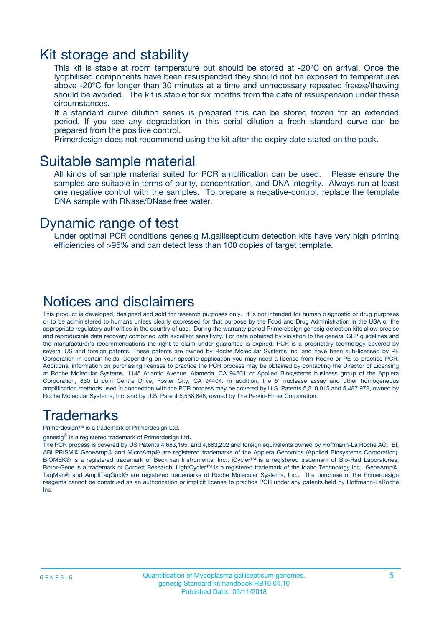### Kit storage and stability

This kit is stable at room temperature but should be stored at -20ºC on arrival. Once the lyophilised components have been resuspended they should not be exposed to temperatures above -20°C for longer than 30 minutes at a time and unnecessary repeated freeze/thawing should be avoided. The kit is stable for six months from the date of resuspension under these circumstances.

If a standard curve dilution series is prepared this can be stored frozen for an extended period. If you see any degradation in this serial dilution a fresh standard curve can be prepared from the positive control.

Primerdesign does not recommend using the kit after the expiry date stated on the pack.

### Suitable sample material

All kinds of sample material suited for PCR amplification can be used. Please ensure the samples are suitable in terms of purity, concentration, and DNA integrity. Always run at least one negative control with the samples. To prepare a negative-control, replace the template DNA sample with RNase/DNase free water.

### Dynamic range of test

Under optimal PCR conditions genesig M.gallisepticum detection kits have very high priming efficiencies of >95% and can detect less than 100 copies of target template.

### Notices and disclaimers

This product is developed, designed and sold for research purposes only. It is not intended for human diagnostic or drug purposes or to be administered to humans unless clearly expressed for that purpose by the Food and Drug Administration in the USA or the appropriate regulatory authorities in the country of use. During the warranty period Primerdesign genesig detection kits allow precise and reproducible data recovery combined with excellent sensitivity. For data obtained by violation to the general GLP guidelines and the manufacturer's recommendations the right to claim under guarantee is expired. PCR is a proprietary technology covered by several US and foreign patents. These patents are owned by Roche Molecular Systems Inc. and have been sub-licensed by PE Corporation in certain fields. Depending on your specific application you may need a license from Roche or PE to practice PCR. Additional information on purchasing licenses to practice the PCR process may be obtained by contacting the Director of Licensing at Roche Molecular Systems, 1145 Atlantic Avenue, Alameda, CA 94501 or Applied Biosystems business group of the Applera Corporation, 850 Lincoln Centre Drive, Foster City, CA 94404. In addition, the 5' nuclease assay and other homogeneous amplification methods used in connection with the PCR process may be covered by U.S. Patents 5,210,015 and 5,487,972, owned by Roche Molecular Systems, Inc, and by U.S. Patent 5,538,848, owned by The Perkin-Elmer Corporation.

### Trademarks

Primerdesign™ is a trademark of Primerdesign Ltd.

genesig $^\circledR$  is a registered trademark of Primerdesign Ltd.

The PCR process is covered by US Patents 4,683,195, and 4,683,202 and foreign equivalents owned by Hoffmann-La Roche AG. BI, ABI PRISM® GeneAmp® and MicroAmp® are registered trademarks of the Applera Genomics (Applied Biosystems Corporation). BIOMEK® is a registered trademark of Beckman Instruments, Inc.; iCycler™ is a registered trademark of Bio-Rad Laboratories, Rotor-Gene is a trademark of Corbett Research. LightCycler™ is a registered trademark of the Idaho Technology Inc. GeneAmp®, TaqMan® and AmpliTaqGold® are registered trademarks of Roche Molecular Systems, Inc., The purchase of the Primerdesign reagents cannot be construed as an authorization or implicit license to practice PCR under any patents held by Hoffmann-LaRoche Inc.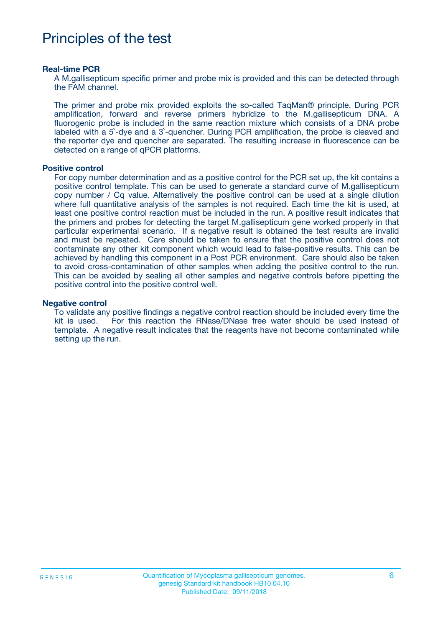## Principles of the test

#### **Real-time PCR**

A M.gallisepticum specific primer and probe mix is provided and this can be detected through the FAM channel.

The primer and probe mix provided exploits the so-called TaqMan® principle. During PCR amplification, forward and reverse primers hybridize to the M.gallisepticum DNA. A fluorogenic probe is included in the same reaction mixture which consists of a DNA probe labeled with a 5`-dye and a 3`-quencher. During PCR amplification, the probe is cleaved and the reporter dye and quencher are separated. The resulting increase in fluorescence can be detected on a range of qPCR platforms.

#### **Positive control**

For copy number determination and as a positive control for the PCR set up, the kit contains a positive control template. This can be used to generate a standard curve of M.gallisepticum copy number / Cq value. Alternatively the positive control can be used at a single dilution where full quantitative analysis of the samples is not required. Each time the kit is used, at least one positive control reaction must be included in the run. A positive result indicates that the primers and probes for detecting the target M.gallisepticum gene worked properly in that particular experimental scenario. If a negative result is obtained the test results are invalid and must be repeated. Care should be taken to ensure that the positive control does not contaminate any other kit component which would lead to false-positive results. This can be achieved by handling this component in a Post PCR environment. Care should also be taken to avoid cross-contamination of other samples when adding the positive control to the run. This can be avoided by sealing all other samples and negative controls before pipetting the positive control into the positive control well.

#### **Negative control**

To validate any positive findings a negative control reaction should be included every time the kit is used. For this reaction the RNase/DNase free water should be used instead of template. A negative result indicates that the reagents have not become contaminated while setting up the run.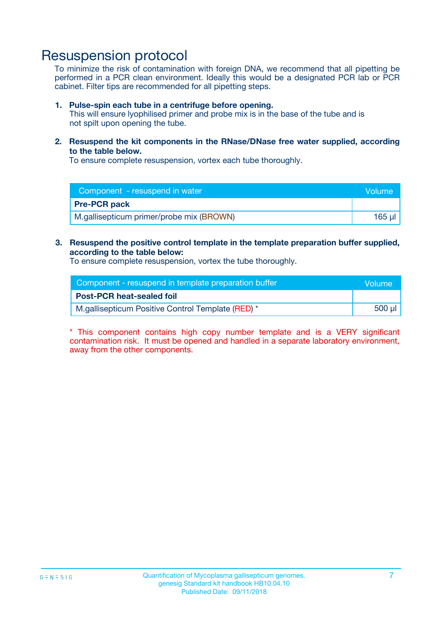## Resuspension protocol

To minimize the risk of contamination with foreign DNA, we recommend that all pipetting be performed in a PCR clean environment. Ideally this would be a designated PCR lab or PCR cabinet. Filter tips are recommended for all pipetting steps.

#### **1. Pulse-spin each tube in a centrifuge before opening.**

This will ensure lyophilised primer and probe mix is in the base of the tube and is not spilt upon opening the tube.

**2. Resuspend the kit components in the RNase/DNase free water supplied, according to the table below.**

To ensure complete resuspension, vortex each tube thoroughly.

| Component - resuspend in water           | Volume |
|------------------------------------------|--------|
| <b>Pre-PCR pack</b>                      |        |
| M.gallisepticum primer/probe mix (BROWN) | 165 ul |

### **3. Resuspend the positive control template in the template preparation buffer supplied, according to the table below:**

To ensure complete resuspension, vortex the tube thoroughly.

| Component - resuspend in template preparation buffer | lVolume' |
|------------------------------------------------------|----------|
| <b>Post-PCR heat-sealed foil</b>                     |          |
| M.gallisepticum Positive Control Template (RED) *    | 500 µl   |

\* This component contains high copy number template and is a VERY significant contamination risk. It must be opened and handled in a separate laboratory environment, away from the other components.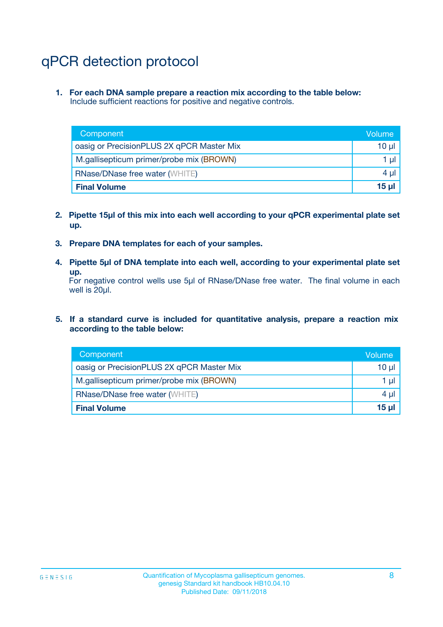# qPCR detection protocol

**1. For each DNA sample prepare a reaction mix according to the table below:** Include sufficient reactions for positive and negative controls.

| Component                                 | Volume     |
|-------------------------------------------|------------|
| oasig or PrecisionPLUS 2X qPCR Master Mix | 10 $\mu$   |
| M.gallisepticum primer/probe mix (BROWN)  | 1 $\mu$    |
| <b>RNase/DNase free water (WHITE)</b>     | $4 \mu$    |
| <b>Final Volume</b>                       | $15$ $\mu$ |

- **2. Pipette 15µl of this mix into each well according to your qPCR experimental plate set up.**
- **3. Prepare DNA templates for each of your samples.**
- **4. Pipette 5µl of DNA template into each well, according to your experimental plate set up.**

For negative control wells use 5µl of RNase/DNase free water. The final volume in each well is 20µl.

**5. If a standard curve is included for quantitative analysis, prepare a reaction mix according to the table below:**

| Component                                 | Volume   |
|-------------------------------------------|----------|
| oasig or PrecisionPLUS 2X qPCR Master Mix | 10 µl    |
| M.gallisepticum primer/probe mix (BROWN)  | 1 µI     |
| <b>RNase/DNase free water (WHITE)</b>     | $4 \mu$  |
| <b>Final Volume</b>                       | $15 \mu$ |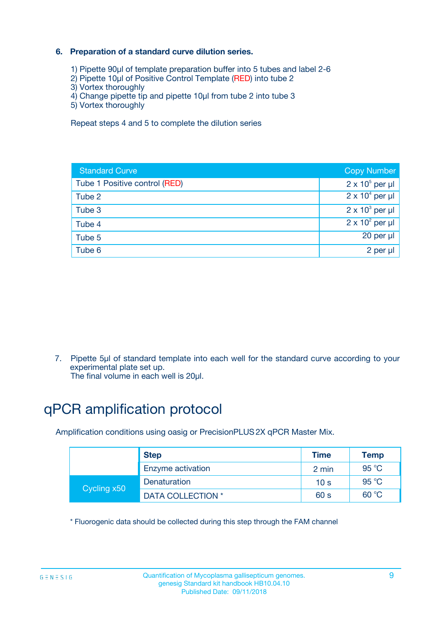### **6. Preparation of a standard curve dilution series.**

- 1) Pipette 90µl of template preparation buffer into 5 tubes and label 2-6
- 2) Pipette 10µl of Positive Control Template (RED) into tube 2
- 3) Vortex thoroughly
- 4) Change pipette tip and pipette 10µl from tube 2 into tube 3
- 5) Vortex thoroughly

Repeat steps 4 and 5 to complete the dilution series

| <b>Standard Curve</b>         | <b>Copy Number</b>     |
|-------------------------------|------------------------|
| Tube 1 Positive control (RED) | $2 \times 10^5$ per µl |
| Tube 2                        | $2 \times 10^4$ per µl |
| Tube 3                        | $2 \times 10^3$ per µl |
| Tube 4                        | $2 \times 10^2$ per µl |
| Tube 5                        | 20 per µl              |
| Tube 6                        | 2 per ul               |

7. Pipette 5µl of standard template into each well for the standard curve according to your experimental plate set up.

The final volume in each well is 20µl.

# qPCR amplification protocol

Amplification conditions using oasig or PrecisionPLUS2X qPCR Master Mix.

|             | <b>Step</b>       | <b>Time</b>     | <b>Temp</b>    |
|-------------|-------------------|-----------------|----------------|
|             | Enzyme activation | 2 min           | $95^{\circ}$ C |
| Cycling x50 | Denaturation      | 10 <sub>s</sub> | 95 $°C$        |
|             | DATA COLLECTION * | 60 s            | 60 °C          |

\* Fluorogenic data should be collected during this step through the FAM channel